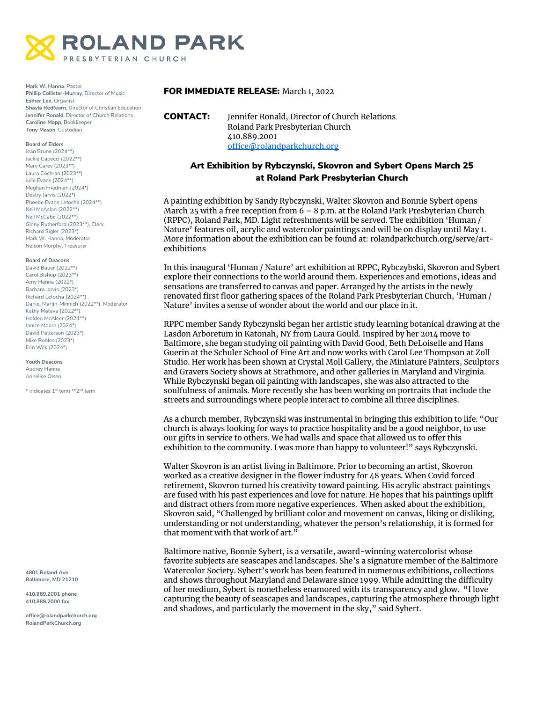

**Mark W. Hanna**, Pastor **Phillip Collister-Murray**, Director of Music **Esther Lee**, Organist **Shayla Redfearn**, Director of Christian Education **Jennifer Ronald**, Director of Church Relations **Caroline Mapp**, Bookkeeper **Tony Mason**, Custodian

#### **Board of Elders**

Jean Brune (2024\*\*) Jackie Capecci (2022\*\*) Mary Carey (2023\*\*) Laura Cochran (2023\*\*) Julie Evans (2024\*\*) Meghan Friedman (2024\*) Destry Jarvis (2022\*) Phoebe Evans Letocha (2024\*\*) Neil McAslan (2022\*\*) Neil McCabe (2022\*\*) Ginny Rutherford (2023\*\*), Clerk Richard Sigler (2023\*) Mark W. Hanna, Moderator Nelson Murphy, Treasurer

#### **Board of Deacons**

David Bauer (2022\*\*) Carol Bishop (2023\*\*) Amy Hanna (2022\*) Barbara Jarvis (2023\*) Richard Letocha (2024\*\*) Daniel Martin-Minnich (2022\*\*), Moderator Kathy Matava (2022\*\*) Holden McAleer (2024\*\*) Janice Moore (2024\*) David Patterson (2023\*) Mike Robles (2023\*) Erin Wilk (2024\*)

**Youth Deacons** Audrey Hanna Annelise Olsen

\* indicates 1st term \*\*2nd term

**4801 Roland Ave Baltimore, MD 21210**

**410.889.2001 phone 410.889.2000 fax**

**office@rolandparkchurch.org RolandParkChurch.org**

### FOR IMMEDIATE RELEASE: March 1, 2022

# Art Exhibition by Rybczynski, Skovron and Sybert Opens March 25 at Roland Park Presbyterian Church

A painting exhibition by Sandy Rybczynski, Walter Skovron and Bonnie Sybert opens March 25 with a free reception from  $6 - 8$  p.m. at the Roland Park Presbyterian Church (RPPC), Roland Park, MD. Light refreshments will be served. The exhibition 'Human / Nature' features oil, acrylic and watercolor paintings and will be on display until May 1. More information about the exhibition can be found at: rolandparkchurch.org/serve/artexhibitions

In this inaugural 'Human / Nature' art exhibition at RPPC, Rybczybski, Skovron and Sybert explore their connections to the world around them. Experiences and emotions, ideas and sensations are transferred to canvas and paper. Arranged by the artists in the newly renovated first floor gathering spaces of the Roland Park Presbyterian Church, 'Human / Nature' invites a sense of wonder about the world and our place in it.

RPPC member Sandy Rybczynski began her artistic study learning botanical drawing at the Lasdon Arboretum in Katonah, NY from Laura Gould. Inspired by her 2014 move to Baltimore, she began studying oil painting with David Good, Beth DeLoiselle and Hans Guerin at the Schuler School of Fine Art and now works with Carol Lee Thompson at Zoll Studio. Her work has been shown at Crystal Moll Gallery, the Miniature Painters, Sculptors and Gravers Society shows at Strathmore, and other galleries in Maryland and Virginia. While Rybczynski began oil painting with landscapes, she was also attracted to the soulfulness of animals. More recently she has been working on portraits that include the streets and surroundings where people interact to combine all three disciplines.

As a church member, Rybczynski was instrumental in bringing this exhibition to life. "Our church is always looking for ways to practice hospitality and be a good neighbor, to use our gifts in service to others. We had walls and space that allowed us to offer this exhibition to the community. I was more than happy to volunteer!" says Rybczynski.

Walter Skovron is an artist living in Baltimore. Prior to becoming an artist, Skovron worked as a creative designer in the flower industry for 48 years. When Covid forced retirement, Skovron turned his creativity toward painting. His acrylic abstract paintings are fused with his past experiences and love for nature. He hopes that his paintings uplift and distract others from more negative experiences. When asked about the exhibition, Skovron said, "Challenged by brilliant color and movement on canvas, liking or disliking, understanding or not understanding, whatever the person's relationship, it is formed for that moment with that work of art."

Baltimore native, Bonnie Sybert, is a versatile, award-winning watercolorist whose favorite subjects are seascapes and landscapes. She's a signature member of the Baltimore Watercolor Society. Sybert's work has been featured in numerous exhibitions, collections and shows throughout Maryland and Delaware since 1999. While admitting the difficulty of her medium, Sybert is nonetheless enamored with its transparency and glow. "I love capturing the beauty of seascapes and landscapes, capturing the atmosphere through light and shadows, and particularly the movement in the sky," said Sybert.

CONTACT: Jennifer Ronald, Director of Church Relations Roland Park Presbyterian Church 410.889.2001 [office@rolandparkchurch.org](mailto:office@rolandparkchurch.org)